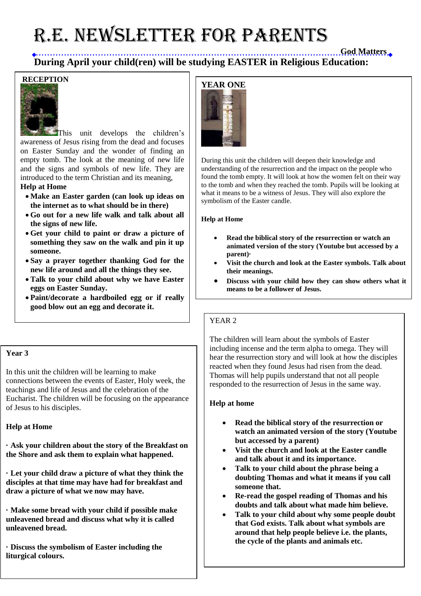# R.E. NEWSLETTER for PARENTS

**God Matters During April your child(ren) will be studying EASTER in Religious Education:** 

### **RECEPTION**



This unit develops the children's awareness of Jesus rising from the dead and focuses on Easter Sunday and the wonder of finding an empty tomb. The look at the meaning of new life and the signs and symbols of new life. They are introduced to the term Christian and its meaning, **Help at Home**

- **Make an Easter garden (can look up ideas on the internet as to what should be in there)**
- **Go out for a new life walk and talk about all the signs of new life.**
- **Get your child to paint or draw a picture of something they saw on the walk and pin it up someone.**
- **Say a prayer together thanking God for the new life around and all the things they see.**
- **Talk to your child about why we have Easter eggs on Easter Sunday.**
- **Paint/decorate a hardboiled egg or if really good blow out an egg and decorate it.**

#### **Year 3**

In this unit the children will be learning to make connections between the events of Easter, Holy week, the teachings and life of Jesus and the celebration of the Eucharist. The children will be focusing on the appearance of Jesus to his disciples.

#### **Help at Home**

**· Ask your children about the story of the Breakfast on the Shore and ask them to explain what happened.**

**· Let your child draw a picture of what they think the disciples at that time may have had for breakfast and draw a picture of what we now may have.**

**· Make some bread with your child if possible make unleavened bread and discuss what why it is called unleavened bread.**

**· Discuss the symbolism of Easter including the liturgical colours.**



During this unit the children will deepen their knowledge and understanding of the resurrection and the impact on the people who found the tomb empty. It will look at how the women felt on their way to the tomb and when they reached the tomb. Pupils will be looking at what it means to be a witness of Jesus. They will also explore the symbolism of the Easter candle.

#### **Help at Home**

- **Read the biblical story of the resurrection or watch an animated version of the story (Youtube but accessed by a parent)·**
- **Visit the church and look at the Easter symbols. Talk about their meanings.**
- **Discuss with your child how they can show others what it means to be a follower of Jesus.**

#### YEAR 2

The children will learn about the symbols of Easter including incense and the term alpha to omega. They will hear the resurrection story and will look at how the disciples reacted when they found Jesus had risen from the dead. Thomas will help pupils understand that not all people responded to the resurrection of Jesus in the same way.

#### **Help at home**

- **Read the biblical story of the resurrection or watch an animated version of the story (Youtube but accessed by a parent)**
- **Visit the church and look at the Easter candle and talk about it and its importance.**
- **Talk to your child about the phrase being a doubting Thomas and what it means if you call someone that.**
- **Re-read the gospel reading of Thomas and his doubts and talk about what made him believe.**
- **Talk to your child about why some people doubt that God exists. Talk about what symbols are around that help people believe i.e. the plants, the cycle of the plants and animals etc.**